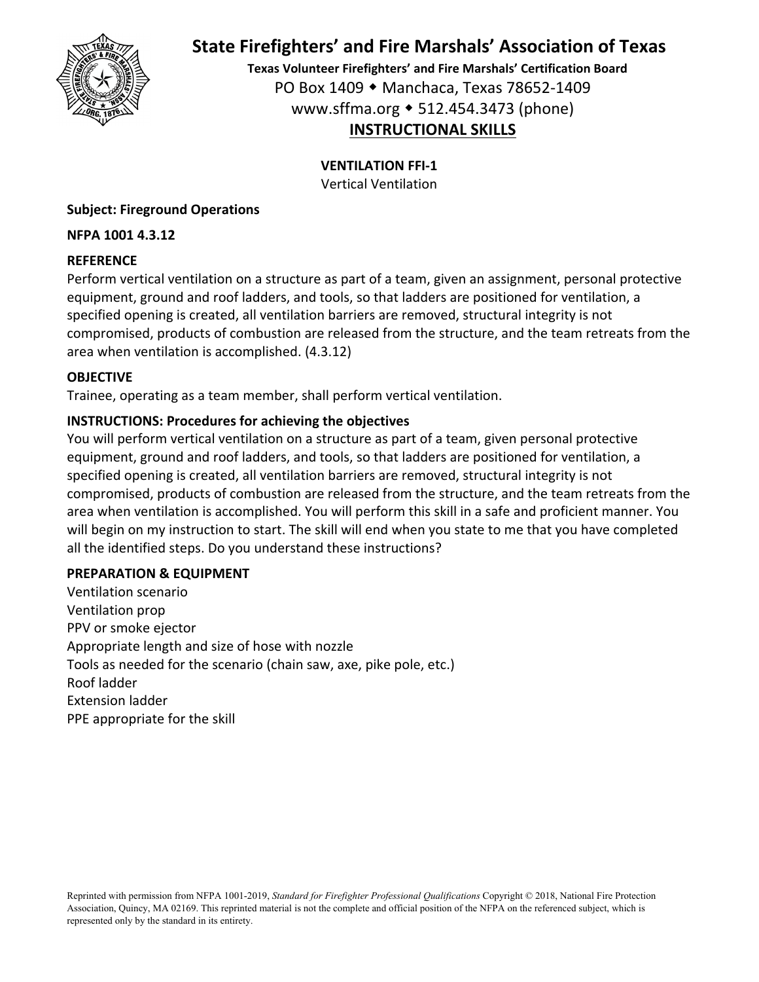

**Texas Volunteer Firefighters' and Fire Marshals' Certification Board** PO Box 1409 Manchaca, Texas 78652‐1409 www.sffma.org 512.454.3473 (phone) **INSTRUCTIONAL SKILLS**

**VENTILATION FFI‐1**

Vertical Ventilation

# **Subject: Fireground Operations**

# **NFPA 1001 4.3.12**

# **REFERENCE**

Perform vertical ventilation on a structure as part of a team, given an assignment, personal protective equipment, ground and roof ladders, and tools, so that ladders are positioned for ventilation, a specified opening is created, all ventilation barriers are removed, structural integrity is not compromised, products of combustion are released from the structure, and the team retreats from the area when ventilation is accomplished. (4.3.12)

# **OBJECTIVE**

Trainee, operating as a team member, shall perform vertical ventilation.

# **INSTRUCTIONS: Procedures for achieving the objectives**

You will perform vertical ventilation on a structure as part of a team, given personal protective equipment, ground and roof ladders, and tools, so that ladders are positioned for ventilation, a specified opening is created, all ventilation barriers are removed, structural integrity is not compromised, products of combustion are released from the structure, and the team retreats from the area when ventilation is accomplished. You will perform this skill in a safe and proficient manner. You will begin on my instruction to start. The skill will end when you state to me that you have completed all the identified steps. Do you understand these instructions?

# **PREPARATION & EQUIPMENT**

Ventilation scenario Ventilation prop PPV or smoke ejector Appropriate length and size of hose with nozzle Tools as needed for the scenario (chain saw, axe, pike pole, etc.) Roof ladder Extension ladder PPE appropriate for the skill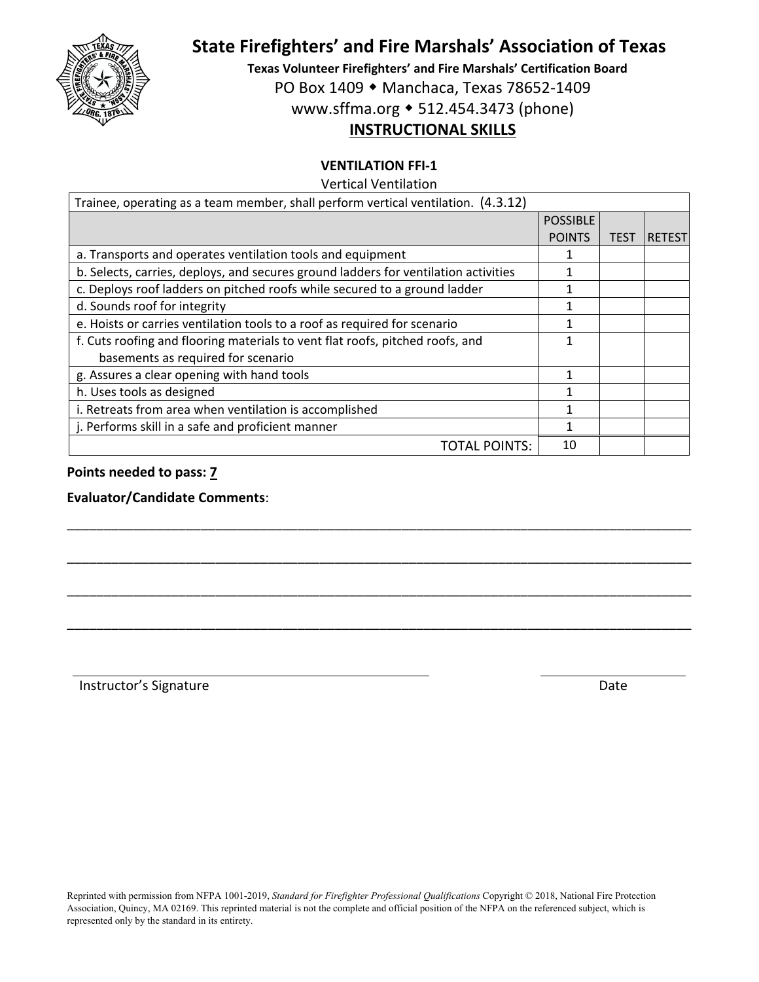

**Texas Volunteer Firefighters' and Fire Marshals' Certification Board**

PO Box 1409 ◆ Manchaca, Texas 78652-1409

www.sffma.org 512.454.3473 (phone)

# **INSTRUCTIONAL SKILLS**

### **VENTILATION FFI‐1**

Vertical Ventilation

| Trainee, operating as a team member, shall perform vertical ventilation. (4.3.12)   |                 |             |                |
|-------------------------------------------------------------------------------------|-----------------|-------------|----------------|
|                                                                                     | <b>POSSIBLE</b> |             |                |
|                                                                                     | <b>POINTS</b>   | <b>TEST</b> | <b>IRETEST</b> |
| a. Transports and operates ventilation tools and equipment                          |                 |             |                |
| b. Selects, carries, deploys, and secures ground ladders for ventilation activities |                 |             |                |
| c. Deploys roof ladders on pitched roofs while secured to a ground ladder           |                 |             |                |
| d. Sounds roof for integrity                                                        |                 |             |                |
| e. Hoists or carries ventilation tools to a roof as required for scenario           |                 |             |                |
| f. Cuts roofing and flooring materials to vent flat roofs, pitched roofs, and       | 1               |             |                |
| basements as required for scenario                                                  |                 |             |                |
| g. Assures a clear opening with hand tools                                          |                 |             |                |
| h. Uses tools as designed                                                           | 1               |             |                |
| i. Retreats from area when ventilation is accomplished                              |                 |             |                |
| j. Performs skill in a safe and proficient manner                                   | 1               |             |                |
| TOTAL POINTS:                                                                       | 10              |             |                |
|                                                                                     |                 |             |                |

\_\_\_\_\_\_\_\_\_\_\_\_\_\_\_\_\_\_\_\_\_\_\_\_\_\_\_\_\_\_\_\_\_\_\_\_\_\_\_\_\_\_\_\_\_\_\_\_\_\_\_\_\_\_\_\_\_\_\_\_\_\_\_\_\_\_\_\_\_\_\_\_\_\_\_\_\_\_\_\_\_\_\_\_

\_\_\_\_\_\_\_\_\_\_\_\_\_\_\_\_\_\_\_\_\_\_\_\_\_\_\_\_\_\_\_\_\_\_\_\_\_\_\_\_\_\_\_\_\_\_\_\_\_\_\_\_\_\_\_\_\_\_\_\_\_\_\_\_\_\_\_\_\_\_\_\_\_\_\_\_\_\_\_\_\_\_\_\_

\_\_\_\_\_\_\_\_\_\_\_\_\_\_\_\_\_\_\_\_\_\_\_\_\_\_\_\_\_\_\_\_\_\_\_\_\_\_\_\_\_\_\_\_\_\_\_\_\_\_\_\_\_\_\_\_\_\_\_\_\_\_\_\_\_\_\_\_\_\_\_\_\_\_\_\_\_\_\_\_\_\_\_\_

\_\_\_\_\_\_\_\_\_\_\_\_\_\_\_\_\_\_\_\_\_\_\_\_\_\_\_\_\_\_\_\_\_\_\_\_\_\_\_\_\_\_\_\_\_\_\_\_\_\_\_\_\_\_\_\_\_\_\_\_\_\_\_\_\_\_\_\_\_\_\_\_\_\_\_\_\_\_\_\_\_\_\_\_

#### **Points needed to pass: 7**

#### **Evaluator/Candidate Comments**:

Instructor's Signature **Date**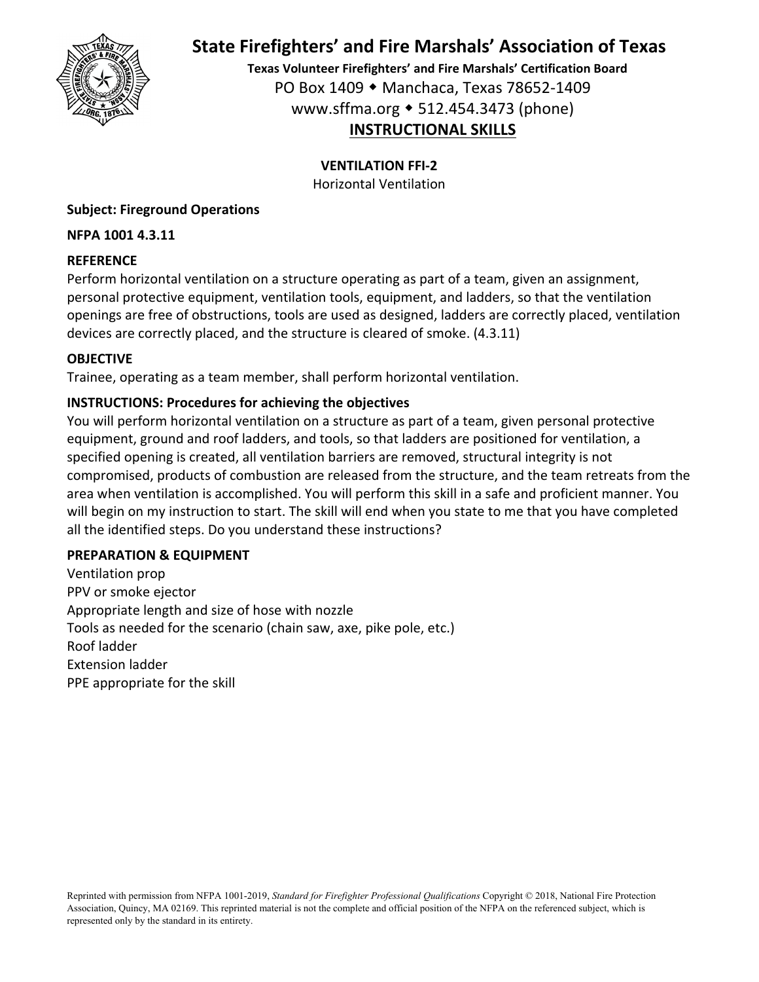

**Texas Volunteer Firefighters' and Fire Marshals' Certification Board** PO Box 1409 Manchaca, Texas 78652‐1409 www.sffma.org 512.454.3473 (phone) **INSTRUCTIONAL SKILLS**

# **VENTILATION FFI‐2**

Horizontal Ventilation

# **Subject: Fireground Operations**

### **NFPA 1001 4.3.11**

# **REFERENCE**

Perform horizontal ventilation on a structure operating as part of a team, given an assignment, personal protective equipment, ventilation tools, equipment, and ladders, so that the ventilation openings are free of obstructions, tools are used as designed, ladders are correctly placed, ventilation devices are correctly placed, and the structure is cleared of smoke. (4.3.11)

# **OBJECTIVE**

Trainee, operating as a team member, shall perform horizontal ventilation.

# **INSTRUCTIONS: Procedures for achieving the objectives**

You will perform horizontal ventilation on a structure as part of a team, given personal protective equipment, ground and roof ladders, and tools, so that ladders are positioned for ventilation, a specified opening is created, all ventilation barriers are removed, structural integrity is not compromised, products of combustion are released from the structure, and the team retreats from the area when ventilation is accomplished. You will perform this skill in a safe and proficient manner. You will begin on my instruction to start. The skill will end when you state to me that you have completed all the identified steps. Do you understand these instructions?

### **PREPARATION & EQUIPMENT**

Ventilation prop PPV or smoke ejector Appropriate length and size of hose with nozzle Tools as needed for the scenario (chain saw, axe, pike pole, etc.) Roof ladder Extension ladder PPE appropriate for the skill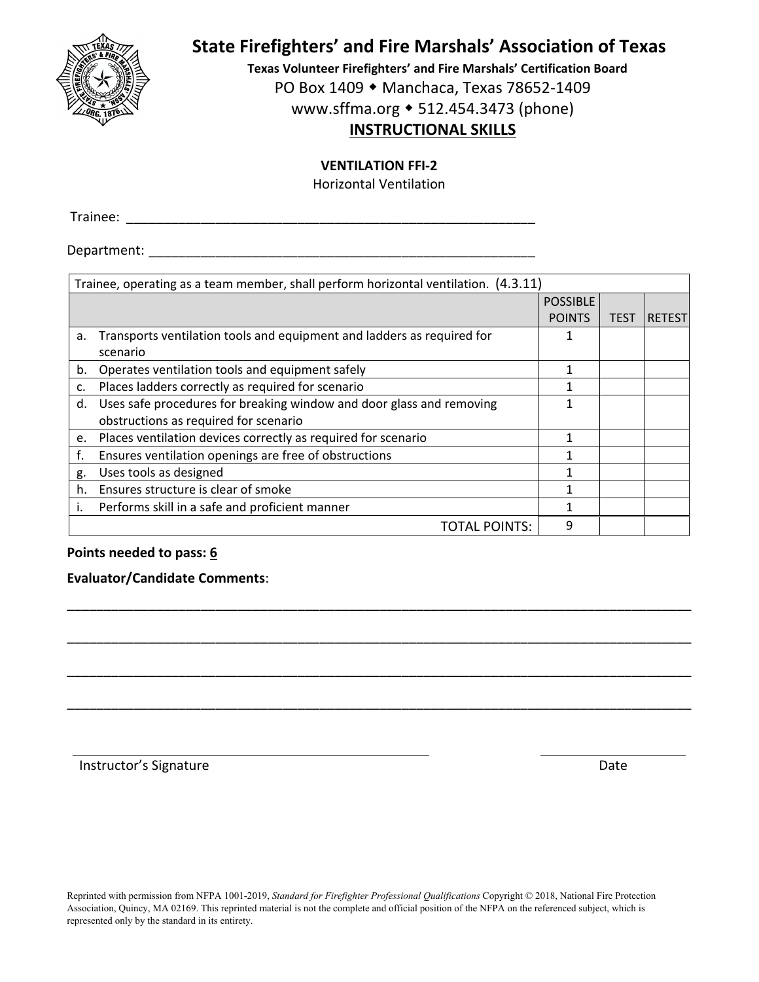

**Texas Volunteer Firefighters' and Fire Marshals' Certification Board** PO Box 1409 ◆ Manchaca, Texas 78652-1409

www.sffma.org 512.454.3473 (phone)

# **INSTRUCTIONAL SKILLS**

### **VENTILATION FFI‐2**

Horizontal Ventilation

Trainee: \_\_\_\_\_\_\_\_\_\_\_\_\_\_\_\_\_\_\_\_\_\_\_\_\_\_\_\_\_\_\_\_\_\_\_\_\_\_\_\_\_\_\_\_\_\_\_\_\_\_\_\_\_\_\_

Department:  $\blacksquare$ 

| Trainee, operating as a team member, shall perform horizontal ventilation. (4.3.11) |                                                                        |                 |             |               |  |  |
|-------------------------------------------------------------------------------------|------------------------------------------------------------------------|-----------------|-------------|---------------|--|--|
|                                                                                     |                                                                        | <b>POSSIBLE</b> |             |               |  |  |
|                                                                                     |                                                                        | <b>POINTS</b>   | <b>TEST</b> | <b>RETEST</b> |  |  |
| а.                                                                                  | Transports ventilation tools and equipment and ladders as required for | 1               |             |               |  |  |
|                                                                                     | scenario                                                               |                 |             |               |  |  |
| b.                                                                                  | Operates ventilation tools and equipment safely                        |                 |             |               |  |  |
| c.                                                                                  | Places ladders correctly as required for scenario                      |                 |             |               |  |  |
| d.                                                                                  | Uses safe procedures for breaking window and door glass and removing   |                 |             |               |  |  |
|                                                                                     | obstructions as required for scenario                                  |                 |             |               |  |  |
| e.                                                                                  | Places ventilation devices correctly as required for scenario          | 1               |             |               |  |  |
| f.                                                                                  | Ensures ventilation openings are free of obstructions                  |                 |             |               |  |  |
| g.                                                                                  | Uses tools as designed                                                 | 1               |             |               |  |  |
| h.                                                                                  | Ensures structure is clear of smoke                                    |                 |             |               |  |  |
|                                                                                     | Performs skill in a safe and proficient manner                         | 1               |             |               |  |  |
|                                                                                     | <b>TOTAL POINTS:</b>                                                   | q               |             |               |  |  |

\_\_\_\_\_\_\_\_\_\_\_\_\_\_\_\_\_\_\_\_\_\_\_\_\_\_\_\_\_\_\_\_\_\_\_\_\_\_\_\_\_\_\_\_\_\_\_\_\_\_\_\_\_\_\_\_\_\_\_\_\_\_\_\_\_\_\_\_\_\_\_\_\_\_\_\_\_\_\_\_\_\_\_\_

\_\_\_\_\_\_\_\_\_\_\_\_\_\_\_\_\_\_\_\_\_\_\_\_\_\_\_\_\_\_\_\_\_\_\_\_\_\_\_\_\_\_\_\_\_\_\_\_\_\_\_\_\_\_\_\_\_\_\_\_\_\_\_\_\_\_\_\_\_\_\_\_\_\_\_\_\_\_\_\_\_\_\_\_

\_\_\_\_\_\_\_\_\_\_\_\_\_\_\_\_\_\_\_\_\_\_\_\_\_\_\_\_\_\_\_\_\_\_\_\_\_\_\_\_\_\_\_\_\_\_\_\_\_\_\_\_\_\_\_\_\_\_\_\_\_\_\_\_\_\_\_\_\_\_\_\_\_\_\_\_\_\_\_\_\_\_\_\_

\_\_\_\_\_\_\_\_\_\_\_\_\_\_\_\_\_\_\_\_\_\_\_\_\_\_\_\_\_\_\_\_\_\_\_\_\_\_\_\_\_\_\_\_\_\_\_\_\_\_\_\_\_\_\_\_\_\_\_\_\_\_\_\_\_\_\_\_\_\_\_\_\_\_\_\_\_\_\_\_\_\_\_\_

### **Points needed to pass: 6**

**Evaluator/Candidate Comments**:

Instructor's Signature **Date** 

Reprinted with permission from NFPA 1001-2019, *Standard for Firefighter Professional Qualifications* Copyright © 2018, National Fire Protection Association, Quincy, MA 02169. This reprinted material is not the complete and official position of the NFPA on the referenced subject, which is represented only by the standard in its entirety.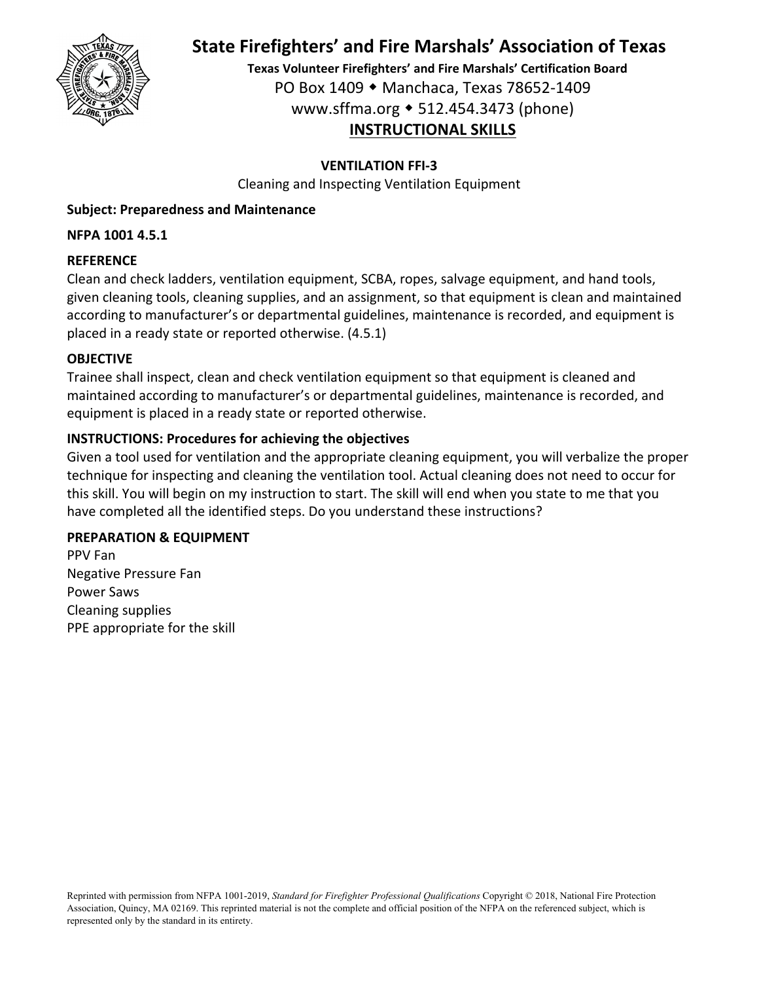

**Texas Volunteer Firefighters' and Fire Marshals' Certification Board** PO Box 1409 Manchaca, Texas 78652‐1409 www.sffma.org 512.454.3473 (phone) **INSTRUCTIONAL SKILLS**

# **VENTILATION FFI‐3**

Cleaning and Inspecting Ventilation Equipment

# **Subject: Preparedness and Maintenance**

### **NFPA 1001 4.5.1**

### **REFERENCE**

Clean and check ladders, ventilation equipment, SCBA, ropes, salvage equipment, and hand tools, given cleaning tools, cleaning supplies, and an assignment, so that equipment is clean and maintained according to manufacturer's or departmental guidelines, maintenance is recorded, and equipment is placed in a ready state or reported otherwise. (4.5.1)

### **OBJECTIVE**

Trainee shall inspect, clean and check ventilation equipment so that equipment is cleaned and maintained according to manufacturer's or departmental guidelines, maintenance is recorded, and equipment is placed in a ready state or reported otherwise.

# **INSTRUCTIONS: Procedures for achieving the objectives**

Given a tool used for ventilation and the appropriate cleaning equipment, you will verbalize the proper technique for inspecting and cleaning the ventilation tool. Actual cleaning does not need to occur for this skill. You will begin on my instruction to start. The skill will end when you state to me that you have completed all the identified steps. Do you understand these instructions?

### **PREPARATION & EQUIPMENT**

PPV Fan Negative Pressure Fan Power Saws Cleaning supplies PPE appropriate for the skill